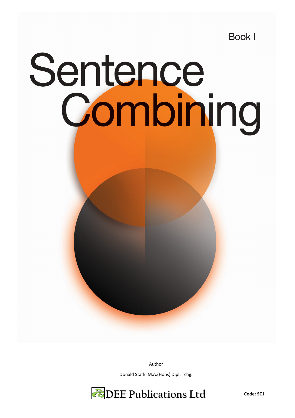**Book I** 

## **Sentence<br>Combining**

Author

Donald Stark M.A.(Hons) Dipl. Tchg.

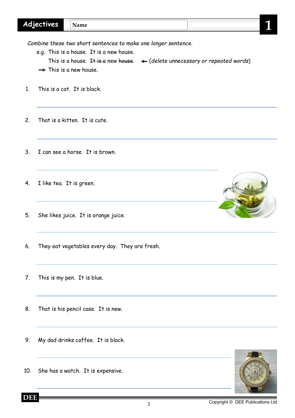|  | 46<br>$\sim$<br>-<br>. . |  | - 13 |  |  |
|--|--------------------------|--|------|--|--|
|--|--------------------------|--|------|--|--|

*Combine these two short sentences to make one longer sentence.*

e.g. This is a house. It is a new house.

This is a house. I<del>t is a</del> new <del>house</del>.  $\leftarrow$  (delete unnecessary or repeated words)  $\rightarrow$  This is a new house.

- 1. This is a cat. It is black.
- 2. That is a kitten. It is cute.
- 3. I can see a horse. It is brown.
- 4. I like tea. It is green.
- 5. She likes juice. It is orange juice.
- 6. They eat vegetables every day. They are fresh.
- 7. This is my pen. It is blue.
- 8. That is his pencil case. It is new.
- 9. My dad drinks coffee. It is black.
- 10. She has a watch. It is expensive.

**DEE**







2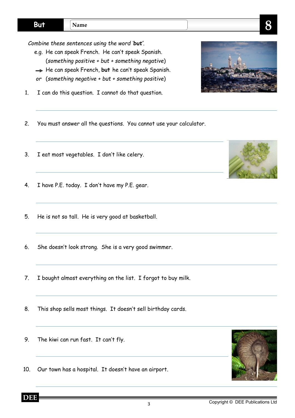*Combine these sentences using the word 'but'.*

- e.g. He can speak French. He can't speak Spanish. (*something positive + but + something negative*)
- $\rightarrow$  He can speak French, but he can't speak Spanish.
- *or* (*something negative + but + something positive*)
- 1. I can do this question. I cannot do that question.
- 2. You must answer all the questions. You cannot use your calculator.
- 3. I eat most vegetables. I don't like celery.
- 4. I have P.E. today. I don't have my P.E. gear.
- 5. He is not so tall. He is very good at basketball.
- 6. She doesn't look strong. She is a very good swimmer.
- 7. I bought almost everything on the list. I forgot to buy milk.
- 8. This shop sells most things. It doesn't sell birthday cards.
- 9. The kiwi can run fast. It can't fly.
- 10. Our town has a hospital. It doesn't have an airport.





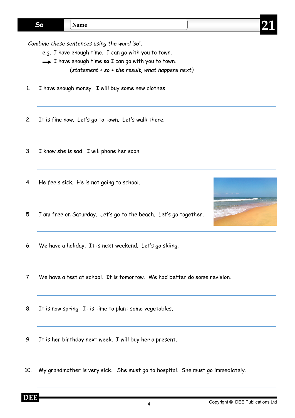*Combine these sentences using the word 'so'.*

- e.g. I have enough time. I can go with you to town.
- $\rightarrow$  I have enough time **so** I can go with you to town.
	- (*statement + so + the result, what happens next)*
- 1. I have enough money. I will buy some new clothes.
- 2. It is fine now. Let's go to town. Let's walk there.
- 3. I know she is sad. I will phone her soon.
- 4. He feels sick. He is not going to school.
- 5. I am free on Saturday. Let's go to the beach. Let's go together.
- 6. We have a holiday. It is next weekend. Let's go skiing.
- 7. We have a test at school. It is tomorrow. We had better do some revision.
- 8. It is now spring. It is time to plant some vegetables.
- 9. It is her birthday next week. I will buy her a present.
- 10. My grandmother is very sick. She must go to hospital. She must go immediately.